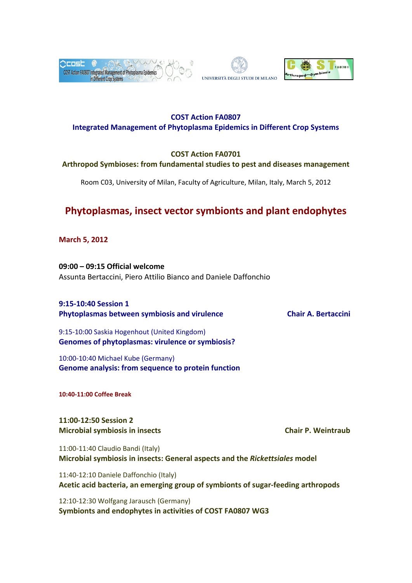





# **COST Action FA0807 Integrated Management of Phytoplasma Epidemics in Different Crop Systems**

# **COST Action FA0701**

# **Arthropod Symbioses: from fundamental studies to pest and diseases management**

Room C03, University of Milan, Faculty of Agriculture, Milan, Italy, March 5, 2012

# **Phytoplasmas, insect vector symbionts and plant endophytes**

**March 5, 2012**

**09:00 – 09:15 Official welcome** Assunta Bertaccini, Piero Attilio Bianco and Daniele Daffonchio

**9:15‐10:40 Session 1 Phytoplasmas between symbiosis and virulence Chair A. Bertaccini**

9:15‐10:00 Saskia Hogenhout (United Kingdom) **Genomes of phytoplasmas: virulence or symbiosis?**

10:00‐10:40 Michael Kube (Germany) **Genome analysis: from sequence to protein function**

**10:40‐11:00 Coffee Break**

**11:00‐12:50 Session 2 Microbial symbiosis in insects Chair P. Weintraub**

11:00‐11:40 Claudio Bandi (Italy) **Microbial symbiosis in insects: General aspects and the** *Rickettsiales* **model**

11:40‐12:10 Daniele Daffonchio (Italy) **Acetic acid bacteria, an emerging group of symbionts of sugar‐feeding arthropods**

12:10‐12:30 Wolfgang Jarausch (Germany) **Symbionts and endophytes in activities of COST FA0807 WG3**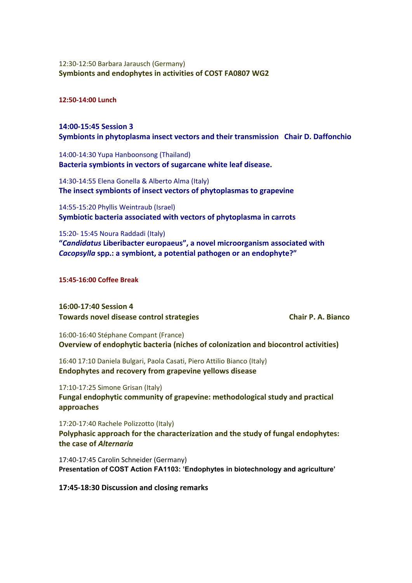## 12:30‐12:50 Barbara Jarausch (Germany) **Symbionts and endophytes in activities of COST FA0807 WG2**

#### **12:50‐14:00 Lunch**

# **14:00‐15:45 Session 3 Symbionts in phytoplasma insect vectors and their transmission Chair D. Daffonchio**

14:00‐14:30 Yupa Hanboonsong (Thailand) **Bacteria symbionts in vectors of sugarcane white leaf disease.**

14:30‐14:55 Elena Gonella & Alberto Alma (Italy) **The insect symbionts of insect vectors of phytoplasmas to grapevine**

14:55‐15:20 Phyllis Weintraub (Israel) **Symbiotic bacteria associated with vectors of phytoplasma in carrots**

15:20‐ 15:45 Noura Raddadi (Italy) **"***Candidatus* **Liberibacter europaeus", a novel microorganism associated with** *Cacopsylla* **spp.: a symbiont, a potential pathogen or an endophyte?"**

**15:45‐16:00 Coffee Break**

**16:00‐17:40 Session 4 Towards novel disease control strategies Chair P. A. Bianco**

16:00‐16:40 Stéphane Compant (France) **Overview of endophytic bacteria (niches of colonization and biocontrol activities)**

16:40 17:10 Daniela Bulgari, Paola Casati, Piero Attilio Bianco (Italy) **Endophytes and recovery from grapevine yellows disease**

17:10‐17:25 Simone Grisan (Italy) **Fungal endophytic community of grapevine: methodological study and practical approaches**

17:20‐17:40 Rachele Polizzotto (Italy) **Polyphasic approach for the characterization and the study of fungal endophytes: the case of** *Alternaria*

17:40‐17:45 Carolin Schneider (Germany) **Presentation of COST Action FA1103: 'Endophytes in biotechnology and agriculture'**

**17:45‐18:30 Discussion and closing remarks**